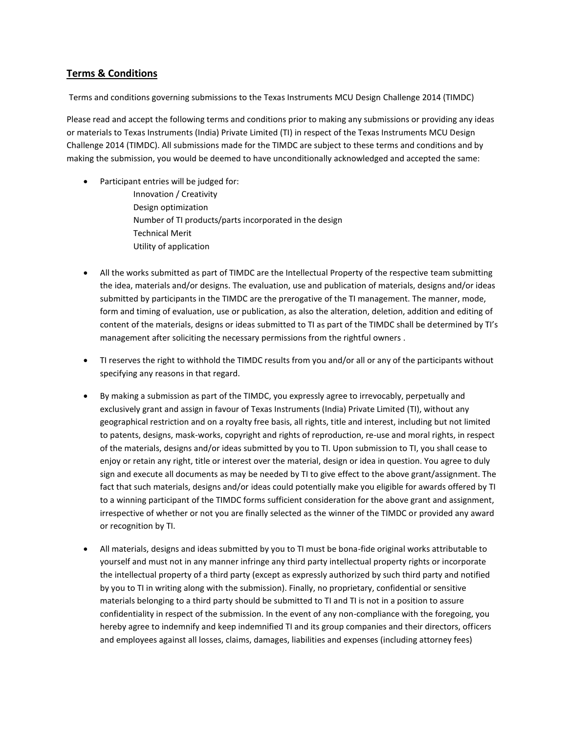# **Terms & Conditions**

Terms and conditions governing submissions to the Texas Instruments MCU Design Challenge 2014 (TIMDC)

Please read and accept the following terms and conditions prior to making any submissions or providing any ideas or materials to Texas Instruments (India) Private Limited (TI) in respect of the Texas Instruments MCU Design Challenge 2014 (TIMDC). All submissions made for the TIMDC are subject to these terms and conditions and by making the submission, you would be deemed to have unconditionally acknowledged and accepted the same:

- Participant entries will be judged for: Innovation / Creativity Design optimization Number of TI products/parts incorporated in the design Technical Merit Utility of application
- All the works submitted as part of TIMDC are the Intellectual Property of the respective team submitting the idea, materials and/or designs. The evaluation, use and publication of materials, designs and/or ideas submitted by participants in the TIMDC are the prerogative of the TI management. The manner, mode, form and timing of evaluation, use or publication, as also the alteration, deletion, addition and editing of content of the materials, designs or ideas submitted to TI as part of the TIMDC shall be determined by TI's management after soliciting the necessary permissions from the rightful owners .
- TI reserves the right to withhold the TIMDC results from you and/or all or any of the participants without specifying any reasons in that regard.
- By making a submission as part of the TIMDC, you expressly agree to irrevocably, perpetually and exclusively grant and assign in favour of Texas Instruments (India) Private Limited (TI), without any geographical restriction and on a royalty free basis, all rights, title and interest, including but not limited to patents, designs, mask-works, copyright and rights of reproduction, re-use and moral rights, in respect of the materials, designs and/or ideas submitted by you to TI. Upon submission to TI, you shall cease to enjoy or retain any right, title or interest over the material, design or idea in question. You agree to duly sign and execute all documents as may be needed by TI to give effect to the above grant/assignment. The fact that such materials, designs and/or ideas could potentially make you eligible for awards offered by TI to a winning participant of the TIMDC forms sufficient consideration for the above grant and assignment, irrespective of whether or not you are finally selected as the winner of the TIMDC or provided any award or recognition by TI.
- All materials, designs and ideas submitted by you to TI must be bona-fide original works attributable to yourself and must not in any manner infringe any third party intellectual property rights or incorporate the intellectual property of a third party (except as expressly authorized by such third party and notified by you to TI in writing along with the submission). Finally, no proprietary, confidential or sensitive materials belonging to a third party should be submitted to TI and TI is not in a position to assure confidentiality in respect of the submission. In the event of any non-compliance with the foregoing, you hereby agree to indemnify and keep indemnified TI and its group companies and their directors, officers and employees against all losses, claims, damages, liabilities and expenses (including attorney fees)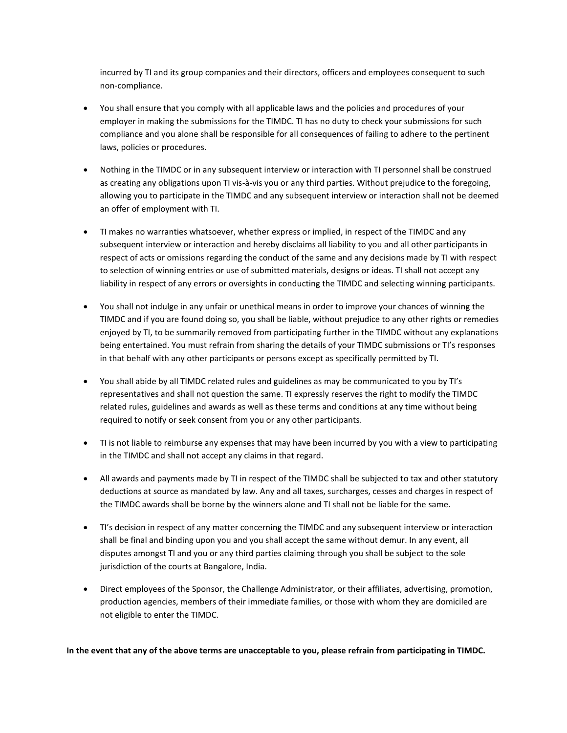incurred by TI and its group companies and their directors, officers and employees consequent to such non-compliance.

- You shall ensure that you comply with all applicable laws and the policies and procedures of your employer in making the submissions for the TIMDC. TI has no duty to check your submissions for such compliance and you alone shall be responsible for all consequences of failing to adhere to the pertinent laws, policies or procedures.
- Nothing in the TIMDC or in any subsequent interview or interaction with TI personnel shall be construed as creating any obligations upon TI vis-à-vis you or any third parties. Without prejudice to the foregoing, allowing you to participate in the TIMDC and any subsequent interview or interaction shall not be deemed an offer of employment with TI.
- TI makes no warranties whatsoever, whether express or implied, in respect of the TIMDC and any subsequent interview or interaction and hereby disclaims all liability to you and all other participants in respect of acts or omissions regarding the conduct of the same and any decisions made by TI with respect to selection of winning entries or use of submitted materials, designs or ideas. TI shall not accept any liability in respect of any errors or oversights in conducting the TIMDC and selecting winning participants.
- You shall not indulge in any unfair or unethical means in order to improve your chances of winning the TIMDC and if you are found doing so, you shall be liable, without prejudice to any other rights or remedies enjoyed by TI, to be summarily removed from participating further in the TIMDC without any explanations being entertained. You must refrain from sharing the details of your TIMDC submissions or TI's responses in that behalf with any other participants or persons except as specifically permitted by TI.
- You shall abide by all TIMDC related rules and guidelines as may be communicated to you by TI's representatives and shall not question the same. TI expressly reserves the right to modify the TIMDC related rules, guidelines and awards as well as these terms and conditions at any time without being required to notify or seek consent from you or any other participants.
- TI is not liable to reimburse any expenses that may have been incurred by you with a view to participating in the TIMDC and shall not accept any claims in that regard.
- All awards and payments made by TI in respect of the TIMDC shall be subjected to tax and other statutory deductions at source as mandated by law. Any and all taxes, surcharges, cesses and charges in respect of the TIMDC awards shall be borne by the winners alone and TI shall not be liable for the same.
- TI's decision in respect of any matter concerning the TIMDC and any subsequent interview or interaction shall be final and binding upon you and you shall accept the same without demur. In any event, all disputes amongst TI and you or any third parties claiming through you shall be subject to the sole jurisdiction of the courts at Bangalore, India.
- Direct employees of the Sponsor, the Challenge Administrator, or their affiliates, advertising, promotion, production agencies, members of their immediate families, or those with whom they are domiciled are not eligible to enter the TIMDC.

**In the event that any of the above terms are unacceptable to you, please refrain from participating in TIMDC.**